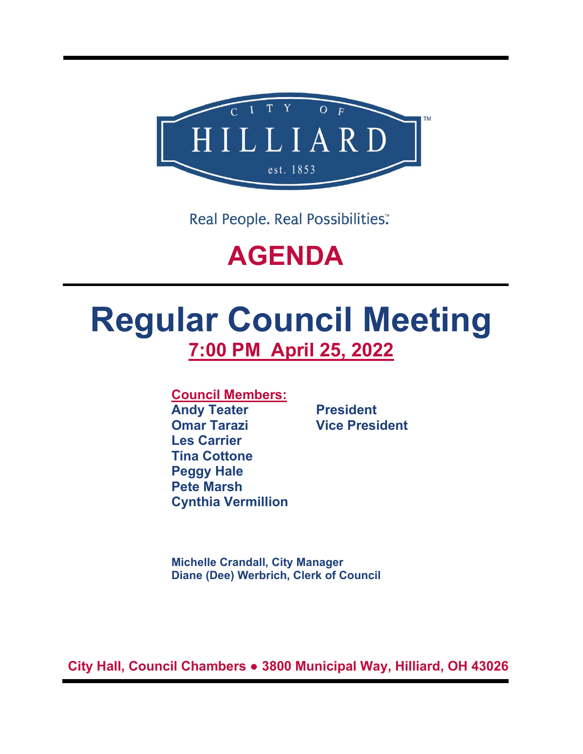

Real People. Real Possibilities:

## **AGENDA**

# **Regular Council Meeting 7:00 PM April 25, 2022**

**Council Members:**

**Andy Teater President Omar Tarazi Vice President Les Carrier Tina Cottone Peggy Hale Pete Marsh Cynthia Vermillion**

**Michelle Crandall, City Manager Diane (Dee) Werbrich, Clerk of Council**

**City Hall, Council Chambers ● 3800 Municipal Way, Hilliard, OH 43026**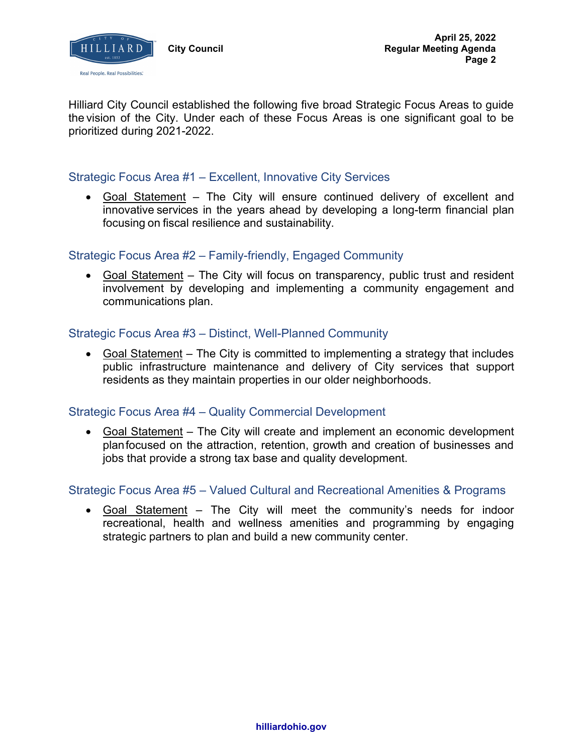

Hilliard City Council established the following five broad Strategic Focus Areas to guide the vision of the City. Under each of these Focus Areas is one significant goal to be prioritized during 2021-2022.

## Strategic Focus Area #1 – Excellent, Innovative City Services

• Goal Statement – The City will ensure continued delivery of excellent and innovative services in the years ahead by developing a long-term financial plan focusing on fiscal resilience and sustainability.

## Strategic Focus Area #2 – Family-friendly, Engaged Community

• Goal Statement – The City will focus on transparency, public trust and resident involvement by developing and implementing a community engagement and communications plan.

## Strategic Focus Area #3 – Distinct, Well-Planned Community

• Goal Statement – The City is committed to implementing a strategy that includes public infrastructure maintenance and delivery of City services that support residents as they maintain properties in our older neighborhoods.

## Strategic Focus Area #4 – Quality Commercial Development

• Goal Statement – The City will create and implement an economic development planfocused on the attraction, retention, growth and creation of businesses and jobs that provide a strong tax base and quality development.

### Strategic Focus Area #5 – Valued Cultural and Recreational Amenities & Programs

• Goal Statement – The City will meet the community's needs for indoor recreational, health and wellness amenities and programming by engaging strategic partners to plan and build a new community center.

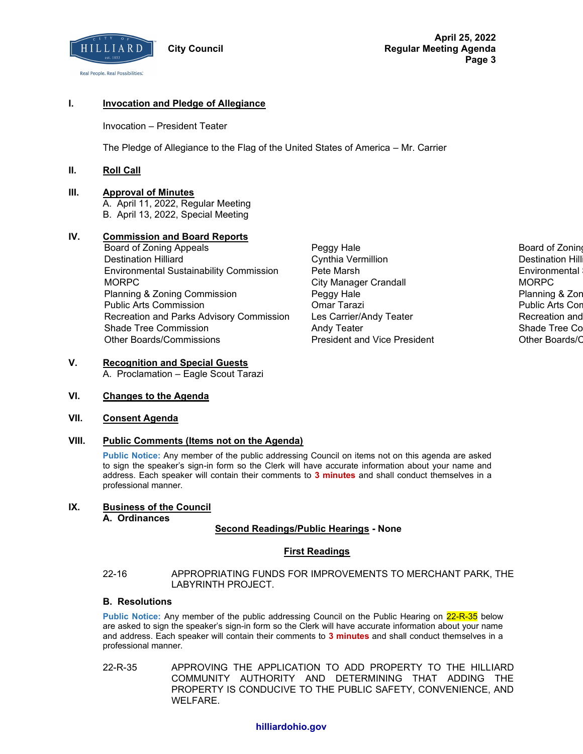

#### **I. Invocation and Pledge of Allegiance**

Invocation – President Teater

The Pledge of Allegiance to the Flag of the United States of America – Mr. Carrier

#### **II. Roll Call**

#### **III. Approval of Minutes**

A. April 11, 2022, Regular Meeting B. April 13, 2022, Special Meeting

#### **IV. Commission and Board Reports**

- Board of Zoning Appeals **Peggy Hale Board of Zoning Appeals** Peggy Hale Board of Zoning Board of Zoning Board of Zoning Board of Zoning Board of Zoning Board of Zoning Board of Zoning Board of Zoning Board of Zoning Board Destination Hilliard Cynthia Vermillion Destination Hilliard Environmental Sustainability Commission Pete Marsh Environmental Sustainability Commission MORPC City Manager Crandall MORPC Planning & Zoning Commission **Peggy Hale Providence Commission** Planning & Zoning Commission **Peggy Hale** Providence Commission Public Arts Commission Omar Tarazi Public Arts Commission Recreation and Parks Advisory Commission Les Carrier/Andy Teater **Recreation and Recreation and** Shade Tree Commission **Andy Teater Shade Tree Commission** Andy Teater Shade Tree Commission Other Boards/Commissions President and Vice President Other Boards/Commissions
	-

## **V. Recognition and Special Guests**

A. Proclamation – Eagle Scout Tarazi

#### **VI. Changes to the Agenda**

#### **VII. Consent Agenda**

#### **VIII. Public Comments (Items not on the Agenda)**

**Public Notice:** Any member of the public addressing Council on items not on this agenda are asked to sign the speaker's sign-in form so the Clerk will have accurate information about your name and address. Each speaker will contain their comments to **3 minutes** and shall conduct themselves in a professional manner.

#### **IX. Business of the Council**

**A. Ordinances**

#### **Second Readings/Public Hearings - None**

#### **First Readings**

22-16 APPROPRIATING FUNDS FOR IMPROVEMENTS TO MERCHANT PARK, THE LABYRINTH PROJECT.

#### **B. Resolutions**

Public Notice: Any member of the public addressing Council on the Public Hearing on 22-R-35 below are asked to sign the speaker's sign-in form so the Clerk will have accurate information about your name and address. Each speaker will contain their comments to **3 minutes** and shall conduct themselves in a professional manner.

22-R-35 APPROVING THE APPLICATION TO ADD PROPERTY TO THE HILLIARD COMMUNITY AUTHORITY AND DETERMINING THAT ADDING THE PROPERTY IS CONDUCIVE TO THE PUBLIC SAFETY, CONVENIENCE, AND WELFARE.

#### **hilliardohio.gov**